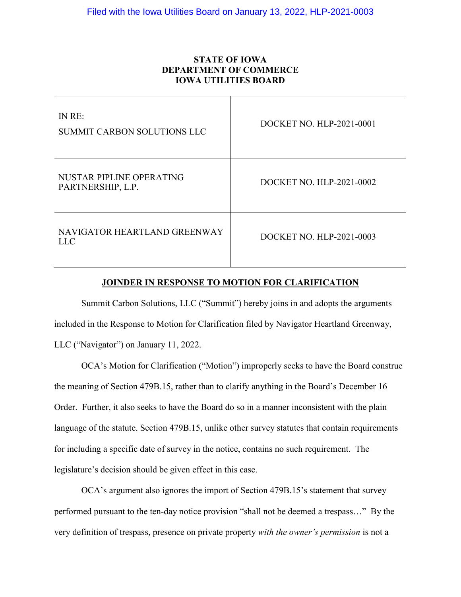# **STATE OF IOWA DEPARTMENT OF COMMERCE IOWA UTILITIES BOARD**

| IN RE:<br><b>SUMMIT CARBON SOLUTIONS LLC</b>  | DOCKET NO. HLP-2021-0001 |
|-----------------------------------------------|--------------------------|
| NUSTAR PIPLINE OPERATING<br>PARTNERSHIP, L.P. | DOCKET NO. HLP-2021-0002 |
| NAVIGATOR HEARTLAND GREENWAY<br>LL C          | DOCKET NO. HLP-2021-0003 |

### **JOINDER IN RESPONSE TO MOTION FOR CLARIFICATION**

Summit Carbon Solutions, LLC ("Summit") hereby joins in and adopts the arguments included in the Response to Motion for Clarification filed by Navigator Heartland Greenway, LLC ("Navigator") on January 11, 2022.

OCA's Motion for Clarification ("Motion") improperly seeks to have the Board construe the meaning of Section 479B.15, rather than to clarify anything in the Board's December 16 Order. Further, it also seeks to have the Board do so in a manner inconsistent with the plain language of the statute. Section 479B.15, unlike other survey statutes that contain requirements for including a specific date of survey in the notice, contains no such requirement. The legislature's decision should be given effect in this case.

OCA's argument also ignores the import of Section 479B.15's statement that survey performed pursuant to the ten-day notice provision "shall not be deemed a trespass…" By the very definition of trespass, presence on private property *with the owner's permission* is not a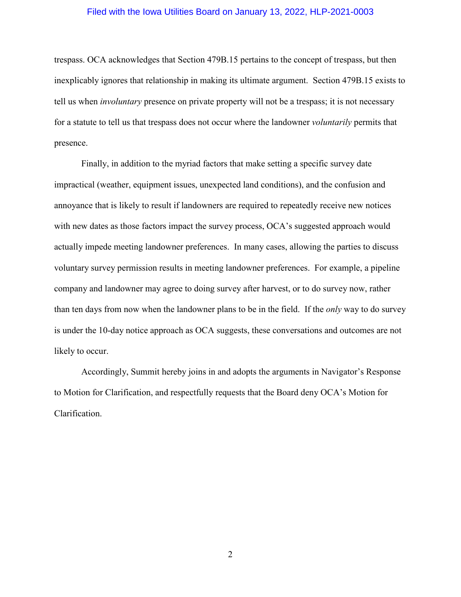### Filed with the Iowa Utilities Board on January 13, 2022, HLP-2021-0003

trespass. OCA acknowledges that Section 479B.15 pertains to the concept of trespass, but then inexplicably ignores that relationship in making its ultimate argument. Section 479B.15 exists to tell us when *involuntary* presence on private property will not be a trespass; it is not necessary for a statute to tell us that trespass does not occur where the landowner *voluntarily* permits that presence.

Finally, in addition to the myriad factors that make setting a specific survey date impractical (weather, equipment issues, unexpected land conditions), and the confusion and annoyance that is likely to result if landowners are required to repeatedly receive new notices with new dates as those factors impact the survey process, OCA's suggested approach would actually impede meeting landowner preferences. In many cases, allowing the parties to discuss voluntary survey permission results in meeting landowner preferences. For example, a pipeline company and landowner may agree to doing survey after harvest, or to do survey now, rather than ten days from now when the landowner plans to be in the field. If the *only* way to do survey is under the 10-day notice approach as OCA suggests, these conversations and outcomes are not likely to occur.

Accordingly, Summit hereby joins in and adopts the arguments in Navigator's Response to Motion for Clarification, and respectfully requests that the Board deny OCA's Motion for Clarification.

2